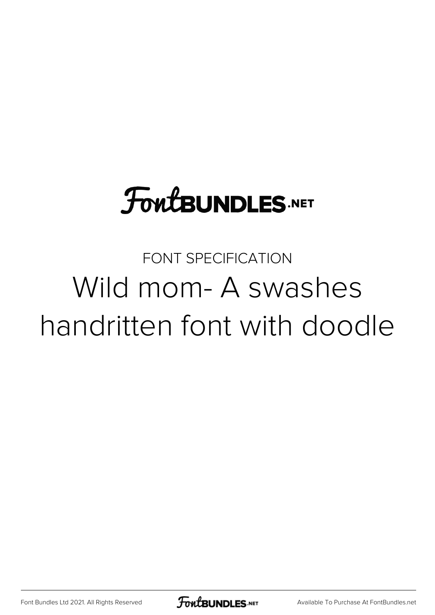# **FoutBUNDLES.NET**

## FONT SPECIFICATION Wild mom- A swashes handritten font with doodle

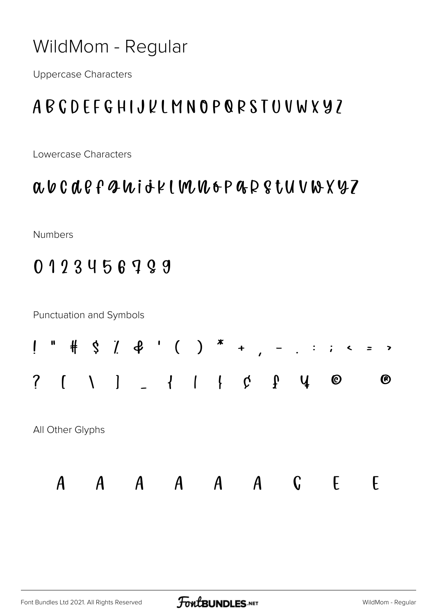#### WildMom - Regular

**Uppercase Characters** 

### ABCDFFGHIJUIMNOPQRSTUVWXY7

Lowercase Characters

#### a b c d e f g h i j k l m n o p g k g t y v w x y z

Numbers

0123456799

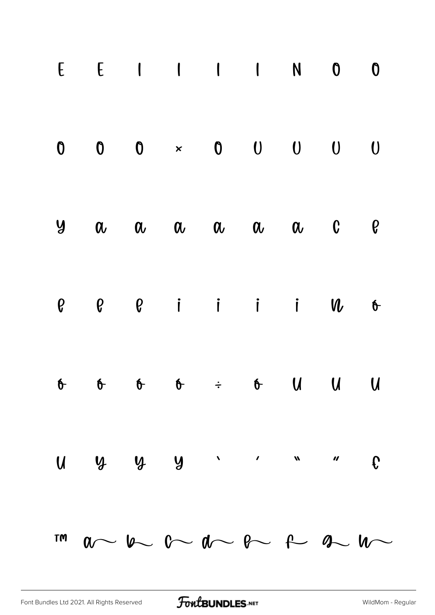| $E \quad E \quad 1 \quad 1 \quad 1 \quad N \quad 0 \quad 0$                                                                                                                                                                                                                                                                                                                                                                                                            |  |  |  |  |
|------------------------------------------------------------------------------------------------------------------------------------------------------------------------------------------------------------------------------------------------------------------------------------------------------------------------------------------------------------------------------------------------------------------------------------------------------------------------|--|--|--|--|
| $\begin{matrix} 0 & 0 & 0 \end{matrix} \quad \begin{matrix} \times & 0 & 0 \end{matrix} \quad \begin{matrix} 0 & 0 & 0 \end{matrix} \quad \begin{matrix} 0 & 0 & 0 \end{matrix}$                                                                                                                                                                                                                                                                                       |  |  |  |  |
| $9 \quad \alpha \quad \alpha \quad \alpha \quad \alpha \quad \alpha \quad \alpha \quad \alpha \quad \beta$                                                                                                                                                                                                                                                                                                                                                             |  |  |  |  |
| $e$ $e$ $e$ i i i $u$ $f$                                                                                                                                                                                                                                                                                                                                                                                                                                              |  |  |  |  |
|                                                                                                                                                                                                                                                                                                                                                                                                                                                                        |  |  |  |  |
| $U \cup Y \cup Y$                                                                                                                                                                                                                                                                                                                                                                                                                                                      |  |  |  |  |
| $\begin{array}{ccccccccccccccccc} \text{row} & & & & \text{on} & & & \text{on} & & \text{on} & & \text{on} & & \text{on} & \text{on} & \text{on} & \text{on} & \text{on} & \text{on} & \text{on} & \text{on} & \text{on} & \text{on} & \text{on} & \text{on} & \text{on} & \text{on} & \text{on} & \text{on} & \text{on} & \text{on} & \text{on} & \text{on} & \text{on} & \text{on} & \text{on} & \text{on} & \text{on} & \text{on} & \text{on} & \text{on} & \text{$ |  |  |  |  |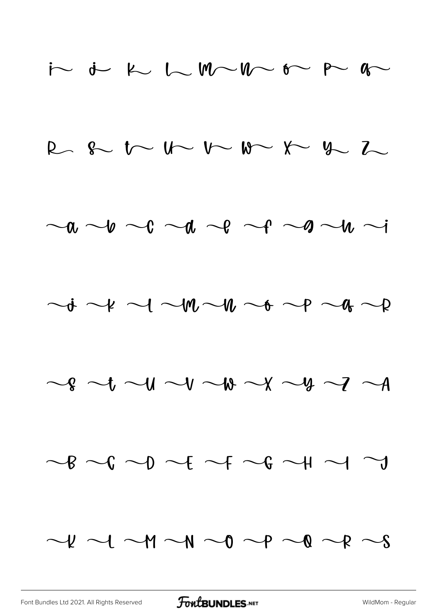